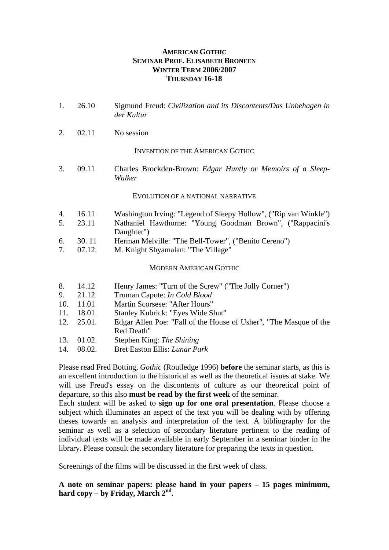## **AMERICAN GOTHIC SEMINAR PROF. ELISABETH BRONFEN WINTER TERM 2006/2007 THURSDAY 16-18**

| 1.  | 26.10  | Sigmund Freud: Civilization and its Discontents/Das Unbehagen in<br>der Kultur  |
|-----|--------|---------------------------------------------------------------------------------|
| 2.  | 02.11  | No session                                                                      |
|     |        | <b>INVENTION OF THE AMERICAN GOTHIC</b>                                         |
| 3.  | 09.11  | Charles Brockden-Brown: Edgar Huntly or Memoirs of a Sleep-<br>Walker           |
|     |        | EVOLUTION OF A NATIONAL NARRATIVE                                               |
| 4.  | 16.11  | Washington Irving: "Legend of Sleepy Hollow", ("Rip van Winkle")                |
| 5.  | 23.11  | Nathaniel Hawthorne: "Young Goodman Brown", ("Rappacini's<br>Daughter")         |
| 6.  | 30.11  | Herman Melville: "The Bell-Tower", ("Benito Cereno")                            |
| 7.  | 07.12. | M. Knight Shyamalan: "The Village"                                              |
|     |        | <b>MODERN AMERICAN GOTHIC</b>                                                   |
| 8.  | 14.12  | Henry James: "Turn of the Screw" ("The Jolly Corner")                           |
| 9.  | 21.12  | Truman Capote: In Cold Blood                                                    |
| 10. | 11.01  | Martin Scorsese: "After Hours"                                                  |
| 11. | 18.01  | Stanley Kubrick: "Eyes Wide Shut"                                               |
| 12. | 25.01. | Edgar Allen Poe: "Fall of the House of Usher", "The Masque of the<br>Red Death" |
| 13. | 01.02. | Stephen King: The Shining                                                       |
| 14. | 08.02. | <b>Bret Easton Ellis: Lunar Park</b>                                            |

Please read Fred Botting, *Gothic* (Routledge 1996) **before** the seminar starts, as this is an excellent introduction to the historical as well as the theoretical issues at stake. We will use Freud's essay on the discontents of culture as our theoretical point of departure, so this also **must be read by the first week** of the seminar.

Each student will be asked to **sign up for one oral presentation**. Please choose a subject which illuminates an aspect of the text you will be dealing with by offering theses towards an analysis and interpretation of the text. A bibliography for the seminar as well as a selection of secondary literature pertinent to the reading of individual texts will be made available in early September in a seminar binder in the library. Please consult the secondary literature for preparing the texts in question.

Screenings of the films will be discussed in the first week of class.

**A note on seminar papers: please hand in your papers – 15 pages minimum, hard copy – by Friday, March 2nd.**